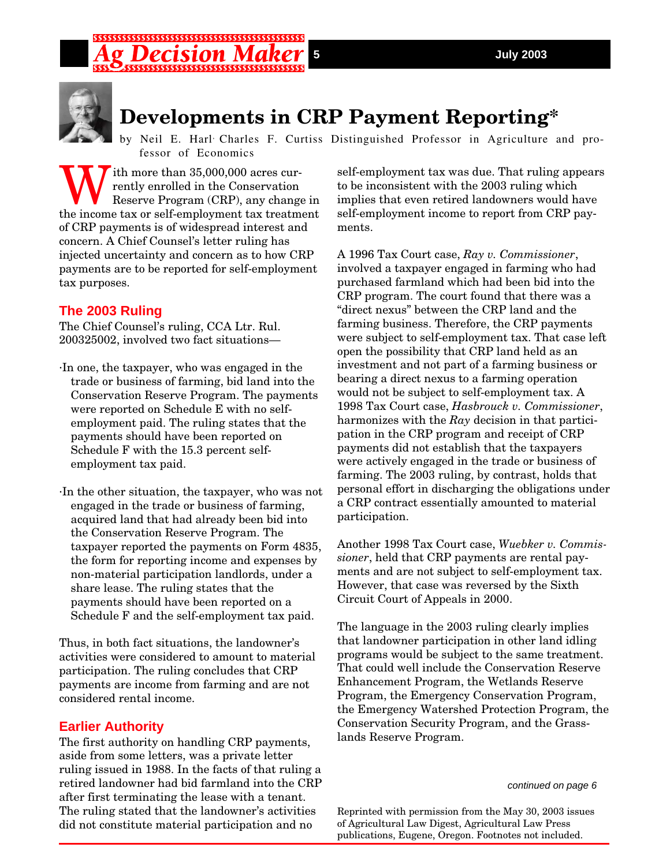# \$\$\$\$\$\$\$\$\$\$\$\$\$\$\$\$\$\$\$\$\$\$\$\$\$\$\$\$\$\$\$\$\$



## **Developments in CRP Payment Reporting\***

by Neil E. Harl Charles F. Curtiss Distinguished Professor in Agriculture and professor of Economics

With more than 35,000,000 acres currently enrolled in the Conservation<br>Reserve Program (CRP), any change rently enrolled in the Conservation Reserve Program (CRP), any change in the income tax or self-employment tax treatment of CRP payments is of widespread interest and concern. A Chief Counsel's letter ruling has injected uncertainty and concern as to how CRP payments are to be reported for self-employment tax purposes.

### **The 2003 Ruling**

The Chief Counsel's ruling, CCA Ltr. Rul. 200325002, involved two fact situations—

- ·In one, the taxpayer, who was engaged in the trade or business of farming, bid land into the Conservation Reserve Program. The payments were reported on Schedule E with no selfemployment paid. The ruling states that the payments should have been reported on Schedule F with the 15.3 percent selfemployment tax paid.
- ·In the other situation, the taxpayer, who was not engaged in the trade or business of farming, acquired land that had already been bid into the Conservation Reserve Program. The taxpayer reported the payments on Form 4835, the form for reporting income and expenses by non-material participation landlords, under a share lease. The ruling states that the payments should have been reported on a Schedule F and the self-employment tax paid.

Thus, in both fact situations, the landowner's activities were considered to amount to material participation. The ruling concludes that CRP payments are income from farming and are not considered rental income.

### **Earlier Authority**

The first authority on handling CRP payments, aside from some letters, was a private letter ruling issued in 1988. In the facts of that ruling a retired landowner had bid farmland into the CRP after first terminating the lease with a tenant. The ruling stated that the landowner's activities did not constitute material participation and no

self-employment tax was due. That ruling appears to be inconsistent with the 2003 ruling which implies that even retired landowners would have self-employment income to report from CRP payments.

A 1996 Tax Court case, *Ray v. Commissioner*, involved a taxpayer engaged in farming who had purchased farmland which had been bid into the CRP program. The court found that there was a "direct nexus" between the CRP land and the farming business. Therefore, the CRP payments were subject to self-employment tax. That case left open the possibility that CRP land held as an investment and not part of a farming business or bearing a direct nexus to a farming operation would not be subject to self-employment tax. A 1998 Tax Court case, *Hasbrouck v. Commissioner*, harmonizes with the *Ray* decision in that participation in the CRP program and receipt of CRP payments did not establish that the taxpayers were actively engaged in the trade or business of farming. The 2003 ruling, by contrast, holds that personal effort in discharging the obligations under a CRP contract essentially amounted to material participation.

Another 1998 Tax Court case, *Wuebker v. Commissioner*, held that CRP payments are rental payments and are not subject to self-employment tax. However, that case was reversed by the Sixth Circuit Court of Appeals in 2000.

The language in the 2003 ruling clearly implies that landowner participation in other land idling programs would be subject to the same treatment. That could well include the Conservation Reserve Enhancement Program, the Wetlands Reserve Program, the Emergency Conservation Program, the Emergency Watershed Protection Program, the Conservation Security Program, and the Grasslands Reserve Program.

*continued on page 6*

Reprinted with permission from the May 30, 2003 issues of Agricultural Law Digest, Agricultural Law Press publications, Eugene, Oregon. Footnotes not included.